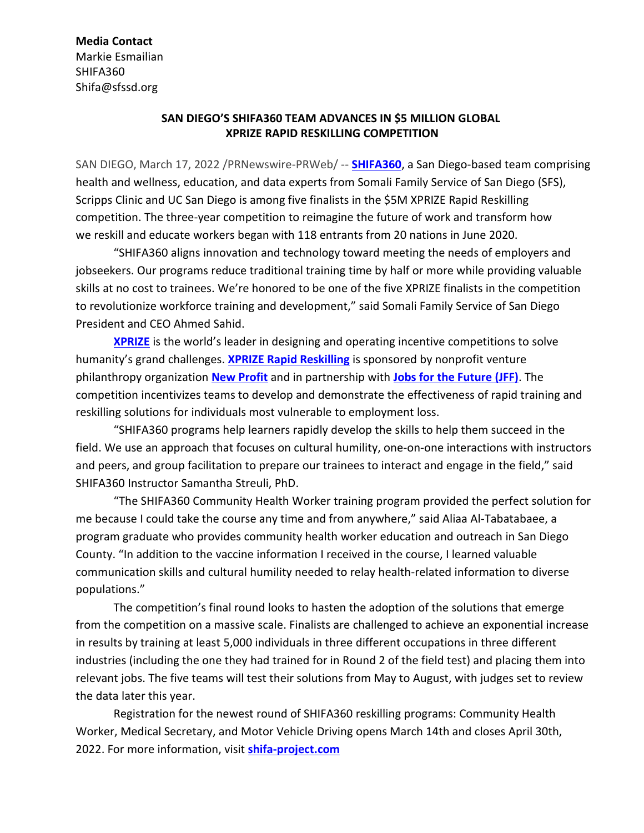# **Media Contact**

Markie Esmailian SHIFA360 Shifa@sfssd.org

# **SAN DIEGO'S SHIFA360 TEAM ADVANCES IN \$5 MILLION GLOBAL XPRIZE RAPID RESKILLING COMPETITION**

SAN DIEGO, March 17, 2022 /PRNewswire-PRWeb/ -- **[SHIFA360](https://shifa-project.com/)**, a San Diego-based team comprising health and wellness, education, and data experts from Somali Family Service of San Diego (SFS), Scripps Clinic and UC San Diego is among five finalists in the \$5M XPRIZE Rapid Reskilling competition. The three-year competition to reimagine the future of work and transform how we reskill and educate workers began with 118 entrants from 20 nations in June 2020.

"SHIFA360 aligns innovation and technology toward meeting the needs of employers and jobseekers. Our programs reduce traditional training time by half or more while providing valuable skills at no cost to trainees. We're honored to be one of the five XPRIZE finalists in the competition to revolutionize workforce training and development," said Somali Family Service of San Diego President and CEO Ahmed Sahid.

**[XPRIZE](https://www.xprize.org/)** is the world's leader in designing and operating incentive competitions to solve humanity's grand challenges. **XPRIZE Rapid [Reskilling](https://www.xprize.org/prizes/rapidreskilling)** is sponsored by nonprofit venture philanthropy organization **New [Profit](http://newprofit.org/)** and in partnership with **Jobs for the [Future](https://www.jff.org/) (JFF)**. The competition incentivizes teams to develop and demonstrate the effectiveness of rapid training and reskilling solutions for individuals most vulnerable to employment loss.

"SHIFA360 programs help learners rapidly develop the skills to help them succeed in the field. We use an approach that focuses on cultural humility, one-on-one interactions with instructors and peers, and group facilitation to prepare our trainees to interact and engage in the field," said SHIFA360 Instructor Samantha Streuli, PhD.

"The SHIFA360 Community Health Worker training program provided the perfect solution for me because I could take the course any time and from anywhere," said Aliaa Al-Tabatabaee, a program graduate who provides community health worker education and outreach in San Diego County. "In addition to the vaccine information I received in the course, I learned valuable communication skills and cultural humility needed to relay health-related information to diverse populations."

The competition's final round looks to hasten the adoption of the solutions that emerge from the competition on a massive scale. Finalists are challenged to achieve an exponential increase in results by training at least 5,000 individuals in three different occupations in three different industries (including the one they had trained for in Round 2 of the field test) and placing them into relevant jobs. The five teams will test their solutions from May to August, with judges set to review the data later this year.

Registration for the newest round of SHIFA360 reskilling programs: Community Health Worker, Medical Secretary, and Motor Vehicle Driving opens March 14th and closes April 30th, 2022. For more information, visit **[shifa-project.com](http://shifa-project.com/)**